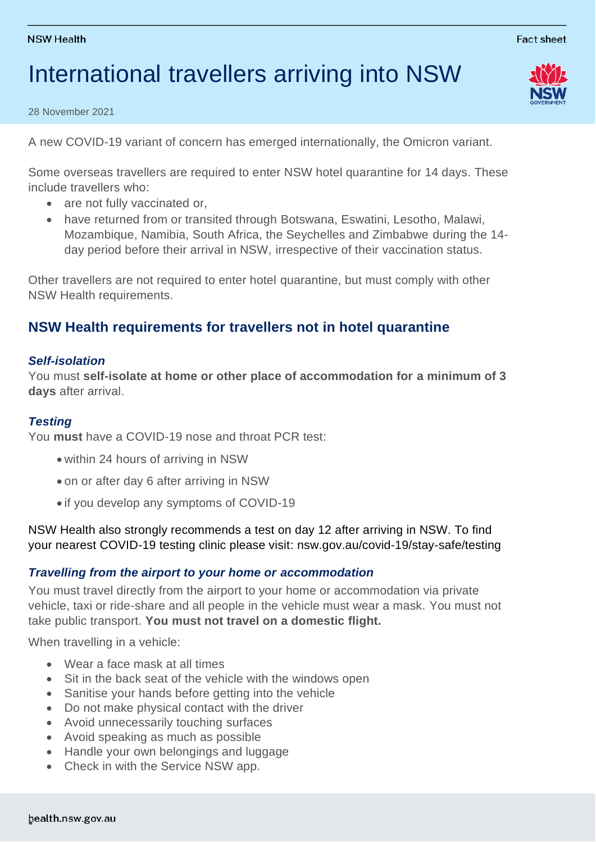# International travellers arriving into NSW

28 November 2021

A new COVID-19 variant of concern has emerged internationally, the Omicron variant.

Some overseas travellers are required to enter NSW hotel quarantine for 14 days. These include travellers who:

- are not fully vaccinated or,
- have returned from or transited through Botswana, Eswatini, Lesotho, Malawi, Mozambique, Namibia, South Africa, the Seychelles and Zimbabwe during the 14 day period before their arrival in NSW, irrespective of their vaccination status.

Other travellers are not required to enter hotel quarantine, but must comply with other NSW Health requirements.

## **NSW Health requirements for travellers not in hotel quarantine**

### *Self-isolation*

You must **self-isolate at home or other place of accommodation for a minimum of 3 days** after arrival.

### *Testing*

You **must** have a COVID-19 nose and throat PCR test:

- within 24 hours of arriving in NSW
- on or after day 6 after arriving in NSW
- if you develop any symptoms of COVID-19

NSW Health also strongly recommends a test on day 12 after arriving in NSW. To find your nearest COVID-19 testing clinic please visit: nsw.gov.au/covid-19/stay-safe/testing

### *Travelling from the airport to your home or accommodation*

You must travel directly from the airport to your home or accommodation via private vehicle, taxi or ride-share and all people in the vehicle must wear a mask. You must not take public transport. **You must not travel on a domestic flight.** 

When travelling in a vehicle:

- Wear a face mask at all times
- Sit in the back seat of the vehicle with the windows open
- Sanitise your hands before getting into the vehicle
- Do not make physical contact with the driver
- Avoid unnecessarily touching surfaces
- Avoid speaking as much as possible
- Handle your own belongings and luggage
- Check in with the Service NSW app.